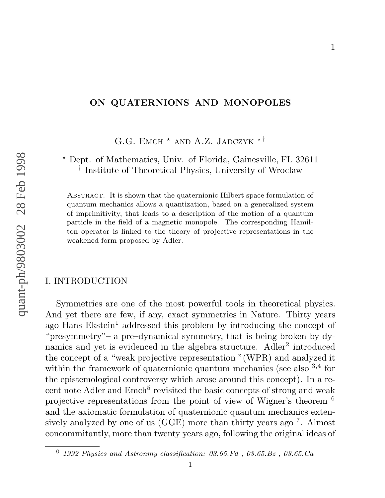## **ON QUATERNIONS AND MONOPOLES**

1

G.G. EMCH<sup>\*</sup> AND A.Z. JADCZYK<sup>\*†</sup>

? Dept. of Mathematics, Univ. of Florida, Gainesville, FL 32611 † Institute of Theoretical Physics, University of Wroclaw

Abstract. It is shown that the quaternionic Hilbert space formulation of quantum mechanics allows a quantization, based on a generalized system of imprimitivity, that leads to a description of the motion of a quantum particle in the field of a magnetic monopole. The corresponding Hamilton operator is linked to the theory of projective representations in the weakened form proposed by Adler.

# I. INTRODUCTION

Symmetries are one of the most powerful tools in theoretical physics. And yet there are few, if any, exact symmetries in Nature. Thirty years ago Hans Ekstein <sup>1</sup> addressed this problem by introducing the concept of "presymmetry"– a pre–dynamical symmetry, that is being broken by dynamics and yet is evidenced in the algebra structure. Adler<sup>2</sup> introduced the concept of a "weak projective representation "(WPR) and analyzed it within the framework of quaternionic quantum mechanics (see also <sup>3,4</sup> for the epistemological controversy which arose around this concept). In a recent note Adler and Emch<sup>5</sup> revisited the basic concepts of strong and weak projective representations from the point of view of Wigner's theorem  $^6$ and the axiomatic formulation of quaternionic quantum mechanics extensively analyzed by one of us (GGE) more than thirty years ago <sup>7</sup>. Almost concommitantly, more than twenty years ago, following the original ideas of

 $^0$  1992 Physics and Astronmy classification: 03.65.Fd, 03.65.Bz, 03.65.Ca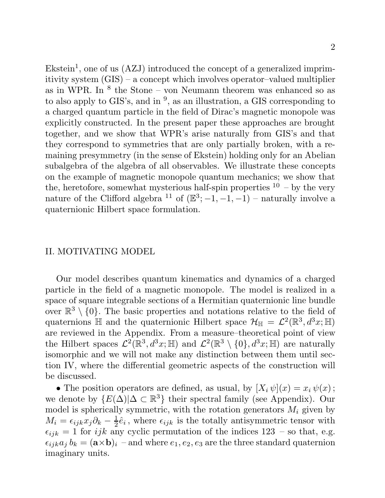$Ekstein<sup>1</sup>$ , one of us  $(AZJ)$  introduced the concept of a generalized imprimitivity system (GIS) – a concept which involves operator–valued multiplier as in WPR. In  $^8$  the Stone – von Neumann theorem was enhanced so as to also apply to GIS's, and in  $\frac{9}{2}$ , as an illustration, a GIS corresponding to a charged quantum particle in the field of Dirac's magnetic monopole was explicitly constructed. In the present paper these approaches are brought together, and we show that WPR's arise naturally from GIS's and that they correspond to symmetries that are only partially broken, with a remaining presymmetry (in the sense of Ekstein) holding only for an Abelian subalgebra of the algebra of all observables. We illustrate these concepts on the example of magnetic monopole quantum mechanics; we show that the, heretofore, somewhat mysterious half-spin properties  $10 - by$  the very nature of the Clifford algebra <sup>11</sup> of  $(\mathbb{E}^3; -1, -1, -1)$  – naturally involve a quaternionic Hilbert space formulation.

### II. MOTIVATING MODEL

Our model describes quantum kinematics and dynamics of a charged particle in the field of a magnetic monopole. The model is realized in a space of square integrable sections of a Hermitian quaternionic line bundle over  $\mathbb{R}^3 \setminus \{0\}$ . The basic properties and notations relative to the field of quaternions  $\mathbb H$  and the quaternionic Hilbert space  $\mathcal{H}_{\mathbb H} = \mathcal{L}^2(\mathbb{R}^3, d^3x; \mathbb H)$ are reviewed in the Appendix. From a measure–theoretical point of view the Hilbert spaces  $\mathcal{L}^2(\mathbb{R}^3, d^3x; \mathbb{H})$  and  $\mathcal{L}^2(\mathbb{R}^3 \setminus \{0\}, d^3x; \mathbb{H})$  are naturally isomorphic and we will not make any distinction between them until section IV, where the differential geometric aspects of the construction will be discussed.

• The position operators are defined, as usual, by  $[X_i \psi](x) = x_i \psi(x)$ ; we denote by  $\{E(\Delta)|\Delta \subset \mathbb{R}^3\}$  their spectral family (see Appendix). Our model is spherically symmetric, with the rotation generators  $M_i$  given by  $M_i = \epsilon_{ijk} x_j \partial_k - \frac{1}{2} \hat{e}_i$ , where  $\epsilon_{ijk}$  is the totally antisymmetric tensor with  $\epsilon_{ijk} = 1$  for *ijk* any cyclic permutation of the indices 123 – so that, e.g.  $\epsilon_{ijk}a_j b_k = (\mathbf{a} \times \mathbf{b})_i$  – and where  $e_1, e_2, e_3$  are the three standard quaternion imaginary units.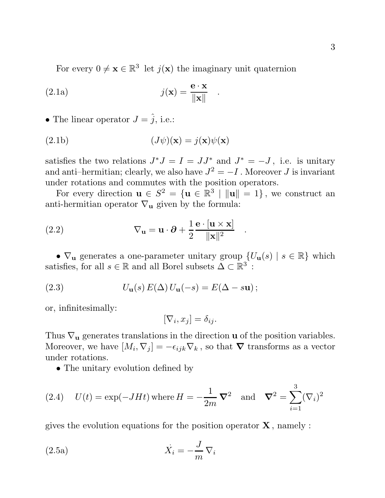For every  $0 \neq \mathbf{x} \in \mathbb{R}^3$  let  $j(\mathbf{x})$  the imaginary unit quaternion

(2.1a) 
$$
j(\mathbf{x}) = \frac{\mathbf{e} \cdot \mathbf{x}}{\|\mathbf{x}\|} .
$$

• The linear operator  $J = \hat{j}$ , i.e.:

(2.1b) 
$$
(J\psi)(\mathbf{x}) = j(\mathbf{x})\psi(\mathbf{x})
$$

satisfies the two relations  $J^*J = I = JJ^*$  and  $J^* = -J$ , i.e. is unitary and anti–hermitian; clearly, we also have  $J^2 = -I$ . Moreover J is invariant under rotations and commutes with the position operators.

For every direction  $\mathbf{u} \in S^2 = {\mathbf{u} \in \mathbb{R}^3 \mid ||\mathbf{u}|| = 1}$ , we construct an anti-hermitian operator  $\nabla_{\mathbf{u}}$  given by the formula:

(2.2) 
$$
\nabla_{\mathbf{u}} = \mathbf{u} \cdot \partial + \frac{1}{2} \frac{\mathbf{e} \cdot [\mathbf{u} \times \mathbf{x}]}{\|\mathbf{x}\|^2} .
$$

•  $\nabla_{\mathbf{u}}$  generates a one-parameter unitary group  $\{U_{\mathbf{u}}(s) \mid s \in \mathbb{R}\}$  which satisfies, for all  $s \in \mathbb{R}$  and all Borel subsets  $\Delta \subset \mathbb{R}^3$ :

(2.3) 
$$
U_{\mathbf{u}}(s) E(\Delta) U_{\mathbf{u}}(-s) = E(\Delta - s\mathbf{u});
$$

or, infinitesimally:

$$
[\nabla_i, x_j] = \delta_{ij}.
$$

Thus  $\nabla_{\mathbf{u}}$  generates translations in the direction **u** of the position variables. Moreover, we have  $[M_i, \nabla_j] = -\epsilon_{ijk} \nabla_k$ , so that  $\nabla$  transforms as a vector under rotations.

• The unitary evolution defined by

(2.4) 
$$
U(t) = \exp(-JHt)
$$
 where  $H = -\frac{1}{2m} \nabla^2$  and  $\nabla^2 = \sum_{i=1}^{3} (\nabla_i)^2$ 

gives the evolution equations for the position operator **X** , namely :

(2.5a) 
$$
\dot{X}_i = -\frac{J}{m} \nabla_i
$$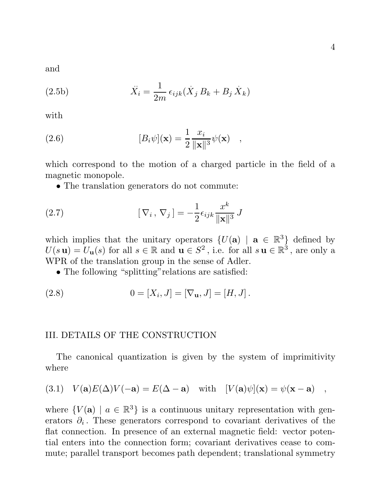and

(2.5b) 
$$
\ddot{X}_i = \frac{1}{2m} \epsilon_{ijk} (\dot{X}_j B_k + B_j \dot{X}_k)
$$

with

(2.6) 
$$
[B_i \psi](\mathbf{x}) = \frac{1}{2} \frac{x_i}{\|\mathbf{x}\|^3} \psi(\mathbf{x}) ,
$$

which correspond to the motion of a charged particle in the field of a magnetic monopole.

• The translation generators do not commute:

(2.7) 
$$
[\nabla_i, \nabla_j] = -\frac{1}{2} \epsilon_{ijk} \frac{x^k}{\|\mathbf{x}\|^3} J
$$

which implies that the unitary operators  $\{U(\mathbf{a}) \mid \mathbf{a} \in \mathbb{R}^3\}$  defined by  $U(s\mathbf{u}) = U_{\mathbf{u}}(s)$  for all  $s \in \mathbb{R}$  and  $\mathbf{u} \in S^2$ , i.e. for all  $s\mathbf{u} \in \mathbb{R}^3$ , are only a WPR of the translation group in the sense of Adler.

• The following "splitting" relations are satisfied:

(2.8) 
$$
0 = [X_i, J] = [\nabla_{\mathbf{u}}, J] = [H, J].
$$

### III. DETAILS OF THE CONSTRUCTION

The canonical quantization is given by the system of imprimitivity where

(3.1) 
$$
V(\mathbf{a})E(\Delta)V(-\mathbf{a}) = E(\Delta - \mathbf{a})
$$
 with  $[V(\mathbf{a})\psi](\mathbf{x}) = \psi(\mathbf{x} - \mathbf{a})$ ,

where  $\{V(\mathbf{a}) \mid a \in \mathbb{R}^3\}$  is a continuous unitary representation with generators  $\partial_i$ . These generators correspond to covariant derivatives of the flat connection. In presence of an external magnetic field: vector potential enters into the connection form; covariant derivatives cease to commute; parallel transport becomes path dependent; translational symmetry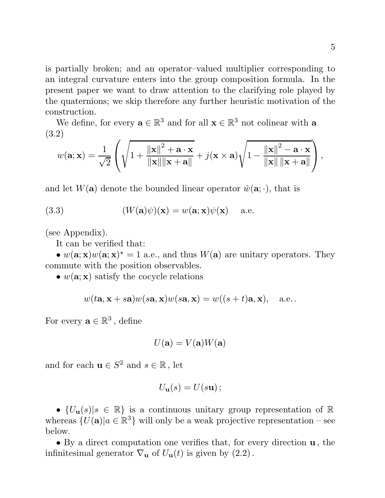is partially broken; and an operator–valued multiplier corresponding to an integral curvature enters into the group composition formula. In the present paper we want to draw attention to the clarifying role played by the quaternions; we skip therefore any further heuristic motivation of the construction.

We define, for every  $\mathbf{a} \in \mathbb{R}^3$  and for all  $\mathbf{x} \in \mathbb{R}^3$  not colinear with **a** (3.2)

$$
w(\mathbf{a}; \mathbf{x}) = \frac{1}{\sqrt{2}} \left( \sqrt{1 + \frac{\|\mathbf{x}\|^2 + \mathbf{a} \cdot \mathbf{x}}{\|\mathbf{x}\| \|\mathbf{x} + \mathbf{a}\|}} + j(\mathbf{x} \times \mathbf{a}) \sqrt{1 - \frac{\|\mathbf{x}\|^2 - \mathbf{a} \cdot \mathbf{x}}{\|\mathbf{x}\| \|\mathbf{x} + \mathbf{a}\|}} \right),
$$

and let  $W(\mathbf{a})$  denote the bounded linear operator  $\hat{w}(\mathbf{a};\cdot)$ , that is

(3.3) 
$$
(W(\mathbf{a})\psi)(\mathbf{x}) = w(\mathbf{a}; \mathbf{x})\psi(\mathbf{x}) \text{ a.e.}
$$

(see Appendix).

It can be verified that:

•  $w(\mathbf{a}; \mathbf{x})w(\mathbf{a}; \mathbf{x})^* = 1$  a.e., and thus  $W(\mathbf{a})$  are unitary operators. They commute with the position observables.

•  $w(\mathbf{a}; \mathbf{x})$  satisfy the cocycle relations

$$
w(t\mathbf{a}, \mathbf{x} + s\mathbf{a})w(s\mathbf{a}, \mathbf{x})w(s\mathbf{a}, \mathbf{x}) = w((s+t)\mathbf{a}, \mathbf{x}),
$$
 a.e.

For every  $\mathbf{a} \in \mathbb{R}^3$ , define

$$
U(\mathbf{a}) = V(\mathbf{a})W(\mathbf{a})
$$

and for each  $\mathbf{u} \in S^2$  and  $s \in \mathbb{R}$ , let

$$
U_{\mathbf{u}}(s)=U(s\mathbf{u});
$$

•  $\{U_{\mathbf{u}}(s)|s \in \mathbb{R}\}\$ is a continuous unitary group representation of  $\mathbb{R}$ whereas  $\{U(\mathbf{a})|a \in \mathbb{R}^3\}$  will only be a weak projective representation – see below.

• By a direct computation one verifies that, for every direction **u** , the infinitesimal generator  $\nabla_{\mathbf{u}}$  of  $U_{\mathbf{u}}(t)$  is given by  $(2.2)$ .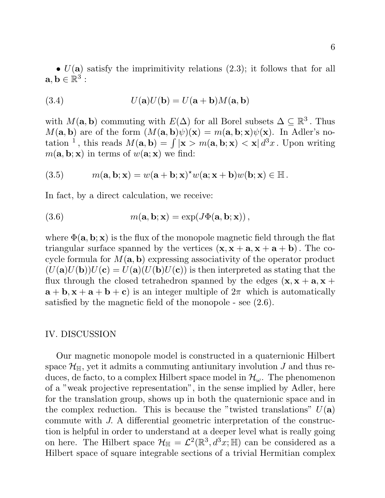(3.4) 
$$
U(\mathbf{a})U(\mathbf{b}) = U(\mathbf{a} + \mathbf{b})M(\mathbf{a}, \mathbf{b})
$$

with  $M(\mathbf{a}, \mathbf{b})$  commuting with  $E(\Delta)$  for all Borel subsets  $\Delta \subseteq \mathbb{R}^3$ . Thus  $M(a, b)$  are of the form  $(M(a, b)\psi)(x) = m(a, b; x)\psi(x)$ . In Adler's notation <sup>1</sup>, this reads  $M(\mathbf{a}, \mathbf{b}) = \int |\mathbf{x} > m(\mathbf{a}, \mathbf{b}; \mathbf{x}) < \mathbf{x}| d^3x$ . Upon writing  $m(\mathbf{a}, \mathbf{b}; \mathbf{x})$  in terms of  $w(\mathbf{a}; \mathbf{x})$  we find:

(3.5) 
$$
m(\mathbf{a}, \mathbf{b}; \mathbf{x}) = w(\mathbf{a} + \mathbf{b}; \mathbf{x})^* w(\mathbf{a}; \mathbf{x} + \mathbf{b}) w(\mathbf{b}; \mathbf{x}) \in \mathbb{H}.
$$

In fact, by a direct calculation, we receive:

(3.6) 
$$
m(\mathbf{a}, \mathbf{b}; \mathbf{x}) = \exp(J\Phi(\mathbf{a}, \mathbf{b}; \mathbf{x})),
$$

where  $\Phi(\mathbf{a}, \mathbf{b}; \mathbf{x})$  is the flux of the monopole magnetic field through the flat triangular surface spanned by the vertices  $(\mathbf{x}, \mathbf{x} + \mathbf{a}, \mathbf{x} + \mathbf{a} + \mathbf{b})$ . The cocycle formula for  $M(a, b)$  expressing associativity of the operator product  $(U(a)U(b))U(c) = U(a)(U(b)U(c))$  is then interpreted as stating that the flux through the closed tetrahedron spanned by the edges  $(\mathbf{x}, \mathbf{x} + \mathbf{a}, \mathbf{x} + \mathbf{b})$  $\mathbf{a} + \mathbf{b}, \mathbf{x} + \mathbf{a} + \mathbf{b} + \mathbf{c}$  is an integer multiple of  $2\pi$  which is automatically satisfied by the magnetic field of the monopole - see (2.6).

#### IV. DISCUSSION

Our magnetic monopole model is constructed in a quaternionic Hilbert space  $\mathcal{H}_{\mathbb{H}}$ , yet it admits a commuting antiunitary involution J and thus reduces, de facto, to a complex Hilbert space model in  $\mathcal{H}_{\omega}$ . The phenomenon of a "weak projective representation", in the sense implied by Adler, here for the translation group, shows up in both the quaternionic space and in the complex reduction. This is because the "twisted translations"  $U(\mathbf{a})$ commute with J. A differential geometric interpretation of the construction is helpful in order to understand at a deeper level what is really going on here. The Hilbert space  $\mathcal{H}_{\mathbb{H}} = \mathcal{L}^2(\mathbb{R}^3, d^3x; \mathbb{H})$  can be considered as a Hilbert space of square integrable sections of a trivial Hermitian complex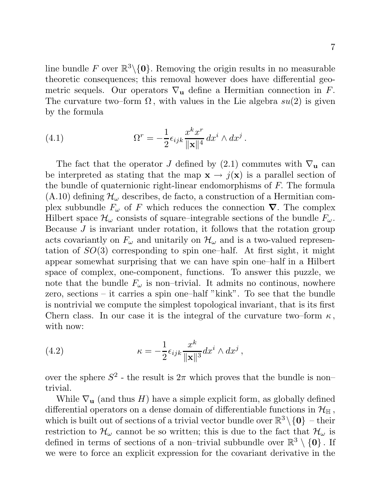line bundle F over  $\mathbb{R}^3\backslash\{0\}$ . Removing the origin results in no measurable theoretic consequences; this removal however does have differential geometric sequels. Our operators  $\nabla_{\mathbf{u}}$  define a Hermitian connection in F. The curvature two–form  $\Omega$ , with values in the Lie algebra  $su(2)$  is given by the formula

(4.1) 
$$
\Omega^r = -\frac{1}{2} \epsilon_{ijk} \frac{x^k x^r}{\|\mathbf{x}\|^4} dx^i \wedge dx^j.
$$

The fact that the operator J defined by  $(2.1)$  commutes with  $\nabla_{\mathbf{u}}$  can be interpreted as stating that the map  $\mathbf{x} \to j(\mathbf{x})$  is a parallel section of the bundle of quaternionic right-linear endomorphisms of F. The formula  $(A.10)$  defining  $\mathcal{H}_{\omega}$  describes, de facto, a construction of a Hermitian complex subbundle  $F_{\omega}$  of F which reduces the connection  $\nabla$ . The complex Hilbert space  $\mathcal{H}_{\omega}$  consists of square–integrable sections of the bundle  $F_{\omega}$ . Because J is invariant under rotation, it follows that the rotation group acts covariantly on  $F_{\omega}$  and unitarily on  $\mathcal{H}_{\omega}$  and is a two-valued representation of  $SO(3)$  corresponding to spin one–half. At first sight, it might appear somewhat surprising that we can have spin one–half in a Hilbert space of complex, one-component, functions. To answer this puzzle, we note that the bundle  $F_{\omega}$  is non–trivial. It admits no continuous, nowhere zero, sections – it carries a spin one–half "kink". To see that the bundle is nontrivial we compute the simplest topological invariant, that is its first Chern class. In our case it is the integral of the curvature two–form  $\kappa$ , with now:

(4.2) 
$$
\kappa = -\frac{1}{2} \epsilon_{ijk} \frac{x^k}{\|\mathbf{x}\|^3} dx^i \wedge dx^j ,
$$

over the sphere  $S^2$  - the result is  $2\pi$  which proves that the bundle is non– trivial.

While  $\nabla$ **u** (and thus H) have a simple explicit form, as globally defined differential operators on a dense domain of differentiable functions in  $\mathcal{H}_{\mathbb{H}}$ , which is built out of sections of a trivial vector bundle over  $\mathbb{R}^3 \setminus \{0\}$  – their restriction to  $\mathcal{H}_{\omega}$  cannot be so written; this is due to the fact that  $\mathcal{H}_{\omega}$  is defined in terms of sections of a non–trivial subbundle over  $\mathbb{R}^3 \setminus \{0\}$ . If we were to force an explicit expression for the covariant derivative in the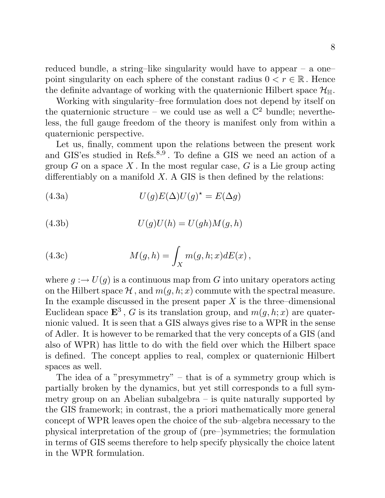reduced bundle, a string–like singularity would have to appear – a one– point singularity on each sphere of the constant radius  $0 < r \in \mathbb{R}$ . Hence the definite advantage of working with the quaternionic Hilbert space  $\mathcal{H}_{\mathbb{H}}$ .

Working with singularity–free formulation does not depend by itself on the quaternionic structure – we could use as well a  $\mathbb{C}^2$  bundle; nevertheless, the full gauge freedom of the theory is manifest only from within a quaternionic perspective.

Let us, finally, comment upon the relations between the present work and GIS'es studied in Refs.<sup>8,9</sup>. To define a GIS we need an action of a group  $G$  on a space  $X$ . In the most regular case,  $G$  is a Lie group acting differentiably on a manifold  $X$ . A GIS is then defined by the relations:

(4.3a) 
$$
U(g)E(\Delta)U(g)^{*}=E(\Delta g)
$$

(4.3b) 
$$
U(g)U(h) = U(gh)M(g,h)
$$

(4.3c) 
$$
M(g,h) = \int_X m(g,h;x) dE(x),
$$

where  $g : \to U(g)$  is a continuous map from G into unitary operators acting on the Hilbert space  $\mathcal{H}$ , and  $m(q, h; x)$  commute with the spectral measure. In the example discussed in the present paper  $X$  is the three–dimensional Euclidean space  $\mathbf{E}^3$ , G is its translation group, and  $m(q, h; x)$  are quaternionic valued. It is seen that a GIS always gives rise to a WPR in the sense of Adler. It is however to be remarked that the very concepts of a GIS (and also of WPR) has little to do with the field over which the Hilbert space is defined. The concept applies to real, complex or quaternionic Hilbert spaces as well.

The idea of a "presymmetry" – that is of a symmetry group which is partially broken by the dynamics, but yet still corresponds to a full symmetry group on an Abelian subalgebra – is quite naturally supported by the GIS framework; in contrast, the a priori mathematically more general concept of WPR leaves open the choice of the sub–algebra necessary to the physical interpretation of the group of (pre–)symmetries; the formulation in terms of GIS seems therefore to help specify physically the choice latent in the WPR formulation.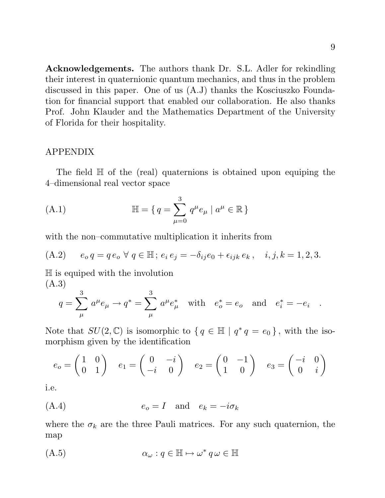**Acknowledgements.** The authors thank Dr. S.L. Adler for rekindling their interest in quaternionic quantum mechanics, and thus in the problem discussed in this paper. One of us (A.J) thanks the Kosciuszko Foundation for financial support that enabled our collaboration. He also thanks Prof. John Klauder and the Mathematics Department of the University of Florida for their hospitality.

## APPENDIX

The field H of the (real) quaternions is obtained upon equiping the 4–dimensional real vector space

(A.1) 
$$
\mathbb{H} = \{ q = \sum_{\mu=0}^{3} q^{\mu} e_{\mu} \mid a^{\mu} \in \mathbb{R} \}
$$

with the non–commutative multiplication it inherits from

(A.2) 
$$
e_o q = q e_o \ \forall \ q \in \mathbb{H}; e_i e_j = -\delta_{ij} e_0 + \epsilon_{ijk} e_k, \quad i, j, k = 1, 2, 3.
$$

H is equiped with the involution (A.3)

$$
q = \sum_{\mu}^{3} a^{\mu} e_{\mu} \rightarrow q^* = \sum_{\mu}^{3} a^{\mu} e_{\mu}^*
$$
 with  $e_o^* = e_o$  and  $e_i^* = -e_i$ .

Note that  $SU(2,\mathbb{C})$  is isomorphic to  $\{q \in \mathbb{H} \mid q^*q = e_0\}$ , with the isomorphism given by the identification

$$
e_o = \begin{pmatrix} 1 & 0 \\ 0 & 1 \end{pmatrix} \quad e_1 = \begin{pmatrix} 0 & -i \\ -i & 0 \end{pmatrix} \quad e_2 = \begin{pmatrix} 0 & -1 \\ 1 & 0 \end{pmatrix} \quad e_3 = \begin{pmatrix} -i & 0 \\ 0 & i \end{pmatrix}
$$

i.e.

$$
(A.4) \t\t e_o = I \t and \t e_k = -i\sigma_k
$$

where the  $\sigma_k$  are the three Pauli matrices. For any such quaternion, the map

$$
(A.5) \qquad \qquad \alpha_{\omega} : q \in \mathbb{H} \mapsto \omega^* \, q \, \omega \in \mathbb{H}
$$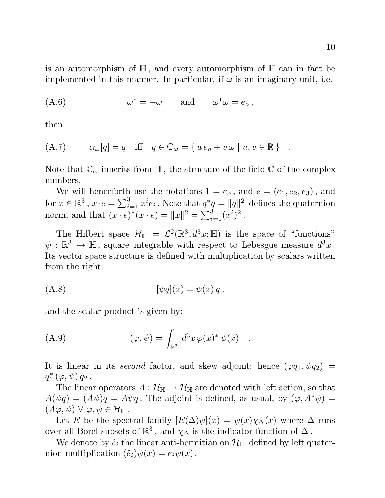is an automorphism of H, and every automorphism of H can in fact be implemented in this manner. In particular, if  $\omega$  is an imaginary unit, i.e.

$$
(A.6) \t\t\t \omega^* = -\omega \t and \t\t \omega^*\omega = e_o,
$$

then

$$
(A.7) \qquad \alpha_{\omega}[q] = q \quad \text{iff} \quad q \in \mathbb{C}_{\omega} = \{ u e_o + v \omega \mid u, v \in \mathbb{R} \} \quad .
$$

Note that  $\mathbb{C}_{\omega}$  inherits from  $\mathbb{H}$ , the structure of the field  $\mathbb{C}$  of the complex numbers.

We will henceforth use the notations  $1 = e_o$ , and  $e = (e_1, e_2, e_3)$ , and for  $x \in \mathbb{R}^3$ ,  $x \cdot e = \sum_{i=1}^3 x^i e_i$ . Note that  $q^*q = ||q||^2$  defines the quaternion norm, and that  $(x \cdot e)^{*}(x \cdot e) = ||x||^{2} = \sum_{i=1}^{3} (x^{i})^{2}$ .

The Hilbert space  $\mathcal{H}_{\mathbb{H}} = \mathcal{L}^2(\mathbb{R}^3, d^3x; \mathbb{H})$  is the space of "functions"  $\psi : \mathbb{R}^3 \mapsto \mathbb{H}$ , square–integrable with respect to Lebesgue measure  $d^3x$ . Its vector space structure is defined with multiplication by scalars written from the right:

$$
[\psi q](x) = \psi(x) q,
$$

and the scalar product is given by:

(A.9) 
$$
(\varphi, \psi) = \int_{\mathbb{R}^3} d^3x \, \varphi(x)^* \, \psi(x) .
$$

It is linear in its second factor, and skew adjoint; hence  $(\varphi q_1, \psi q_2)$  =  $q_{1}^{*}\left( \varphi ,\psi \right) q_{2}$  .

The linear operators  $A: \mathcal{H}_{\mathbb{H}} \to \mathcal{H}_{\mathbb{H}}$  are denoted with left action, so that  $A(\psi q) = (A\psi)q = A\psi q$ . The adjoint is defined, as usual, by  $(\varphi, A^*\psi) =$  $(A\varphi,\psi) \forall \varphi,\psi \in \mathcal{H}_{\mathbb{H}}$ .

Let E be the spectral family  $[E(\Delta)\psi](x) = \psi(x)\chi_{\Delta}(x)$  where  $\Delta$  runs over all Borel subsets of  $\mathbb{R}^3$ , and  $\chi_{\Delta}$  is the indicator function of  $\Delta$ .

We denote by  $\hat{e}_i$  the linear anti-hermitian on  $\mathcal{H}_{\mathbb{H}}$  defined by left quaternion multiplication  $(\hat{e}_i)\psi(x) = e_i\psi(x)$ .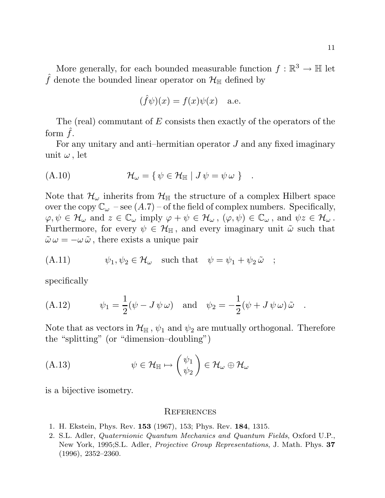$$
(\hat{f}\psi)(x) = f(x)\psi(x)
$$
 a.e.

The (real) commutant of  $E$  consists then exactly of the operators of the form  $\hat{f}$ .

For any unitary and anti-hermitian operator  $J$  and any fixed imaginary unit  $\omega$ , let

$$
(A.10) \t\t \mathcal{H}_{\omega} = \{ \psi \in \mathcal{H}_{\mathbb{H}} \mid J \psi = \psi \omega \} .
$$

Note that  $\mathcal{H}_{\omega}$  inherits from  $\mathcal{H}_{\mathbb{H}}$  the structure of a complex Hilbert space over the copy  $\mathbb{C}_{\omega}$  – see  $(A.7)$  – of the field of complex numbers. Specifically,  $\varphi, \psi \in \mathcal{H}_{\omega}$  and  $z \in \mathbb{C}_{\omega}$  imply  $\varphi + \psi \in \mathcal{H}_{\omega}$ ,  $(\varphi, \psi) \in \mathbb{C}_{\omega}$ , and  $\psi z \in \mathcal{H}_{\omega}$ . Furthermore, for every  $\psi \in \mathcal{H}_{\mathbb{H}}$ , and every imaginary unit  $\tilde{\omega}$  such that  $\tilde{\omega} \omega = -\omega \tilde{\omega}$ , there exists a unique pair

(A.11) 
$$
\psi_1, \psi_2 \in \mathcal{H}_{\omega} \text{ such that } \psi = \psi_1 + \psi_2 \tilde{\omega} ;
$$

specifically

(A.12) 
$$
\psi_1 = \frac{1}{2}(\psi - J\psi\omega) \text{ and } \psi_2 = -\frac{1}{2}(\psi + J\psi\omega)\tilde{\omega}.
$$

Note that as vectors in  $\mathcal{H}_{\mathbb{H}}$ ,  $\psi_1$  and  $\psi_2$  are mutually orthogonal. Therefore the "splitting" (or "dimension–doubling")

(A.13) 
$$
\psi \in \mathcal{H}_{\mathbb{H}} \mapsto \begin{pmatrix} \psi_1 \\ \psi_2 \end{pmatrix} \in \mathcal{H}_{\omega} \oplus \mathcal{H}_{\omega}
$$

is a bijective isometry.

#### **REFERENCES**

- 1. H. Ekstein, Phys. Rev. **153** (1967), 153; Phys. Rev. **184**, 1315.
- 2. S.L. Adler, Quaternionic Quantum Mechanics and Quantum Fields, Oxford U.P., New York, 1995;S.L. Adler, Projective Group Representations, J. Math. Phys. **37** (1996), 2352–2360.